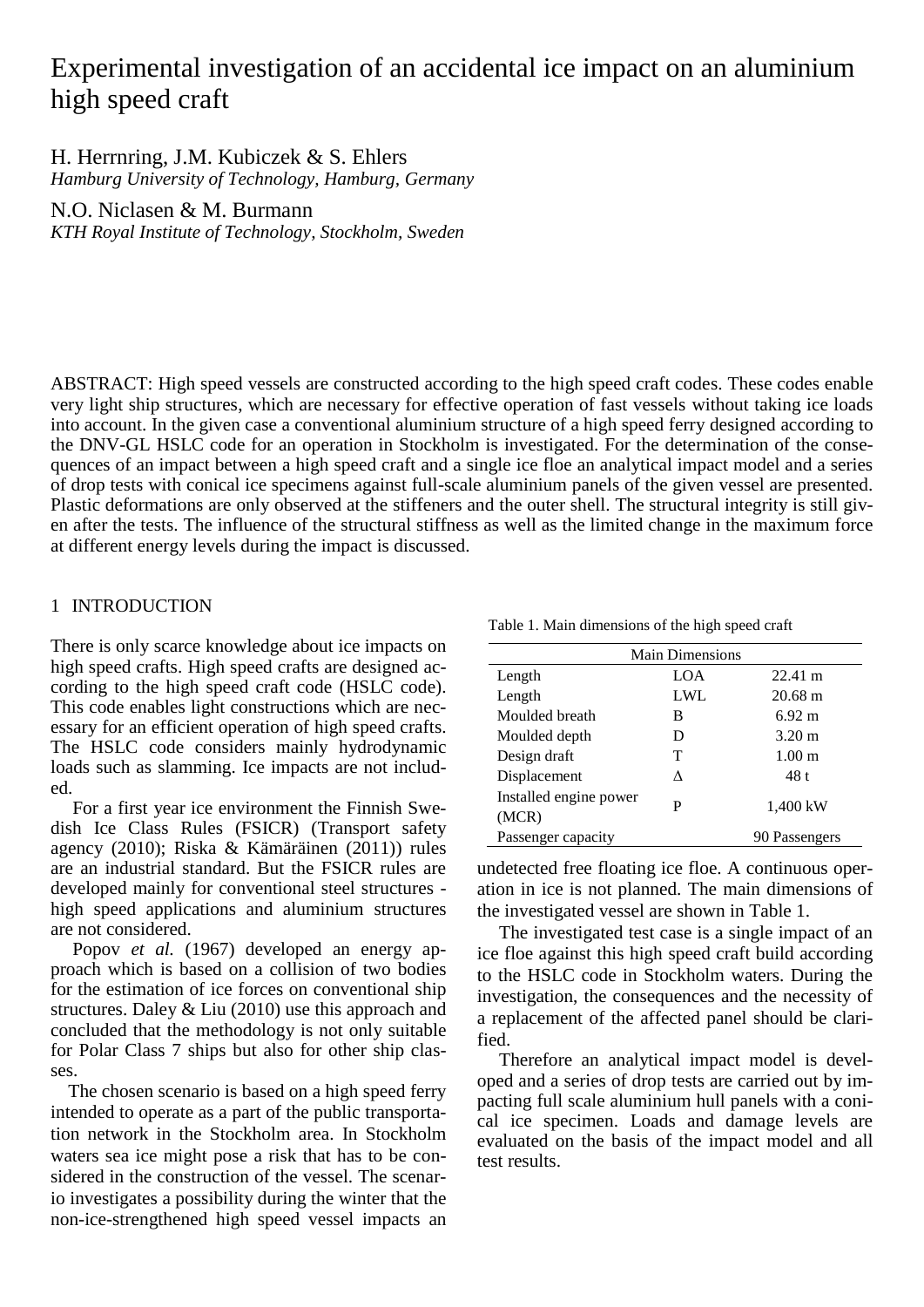# Experimental investigation of an accidental ice impact on an aluminium high speed craft

H. Herrnring, J.M. Kubiczek & S. Ehlers *Hamburg University of Technology, Hamburg, Germany*

N.O. Niclasen & M. Burmann

*KTH Royal Institute of Technology, Stockholm, Sweden*

ABSTRACT: High speed vessels are constructed according to the high speed craft codes. These codes enable very light ship structures, which are necessary for effective operation of fast vessels without taking ice loads into account. In the given case a conventional aluminium structure of a high speed ferry designed according to the DNV-GL HSLC code for an operation in Stockholm is investigated. For the determination of the consequences of an impact between a high speed craft and a single ice floe an analytical impact model and a series of drop tests with conical ice specimens against full-scale aluminium panels of the given vessel are presented. Plastic deformations are only observed at the stiffeners and the outer shell. The structural integrity is still given after the tests. The influence of the structural stiffness as well as the limited change in the maximum force at different energy levels during the impact is discussed.

# 1 INTRODUCTION

There is only scarce knowledge about ice impacts on high speed crafts. High speed crafts are designed according to the high speed craft code (HSLC code). This code enables light constructions which are necessary for an efficient operation of high speed crafts. The HSLC code considers mainly hydrodynamic loads such as slamming. Ice impacts are not included.

For a first year ice environment the Finnish Swedish Ice Class Rules (FSICR) (Transport safety agency (2010); Riska & Kämäräinen (2011)) rules are an industrial standard. But the FSICR rules are developed mainly for conventional steel structures high speed applications and aluminium structures are not considered.

Popov *et al.* (1967) developed an energy approach which is based on a collision of two bodies for the estimation of ice forces on conventional ship structures. Daley & Liu (2010) use this approach and concluded that the methodology is not only suitable for Polar Class 7 ships but also for other ship classes.

The chosen scenario is based on a high speed ferry intended to operate as a part of the public transportation network in the Stockholm area. In Stockholm waters sea ice might pose a risk that has to be considered in the construction of the vessel. The scenario investigates a possibility during the winter that the non-ice-strengthened high speed vessel impacts an

<span id="page-0-0"></span>

| <b>Main Dimensions</b> |     |                   |  |
|------------------------|-----|-------------------|--|
| Length                 | LOA | $22.41 \text{ m}$ |  |
| Length                 | LWL | $20.68 \text{ m}$ |  |
| Moulded breath         | В   | $6.92 \text{ m}$  |  |
| Moulded depth          | D   | $3.20 \text{ m}$  |  |
| Design draft           | т   | 1.00 <sub>m</sub> |  |
| Displacement           | л   | 48 t              |  |
| Installed engine power | P   |                   |  |
| (MCR)                  |     | 1,400 kW          |  |
| Passenger capacity     |     | 90 Passengers     |  |

undetected free floating ice floe. A continuous operation in ice is not planned. The main dimensions of the investigated vessel are shown in [Table 1.](#page-0-0)

The investigated test case is a single impact of an ice floe against this high speed craft build according to the HSLC code in Stockholm waters. During the investigation, the consequences and the necessity of a replacement of the affected panel should be clarified.

Therefore an analytical impact model is developed and a series of drop tests are carried out by impacting full scale aluminium hull panels with a conical ice specimen. Loads and damage levels are evaluated on the basis of the impact model and all test results.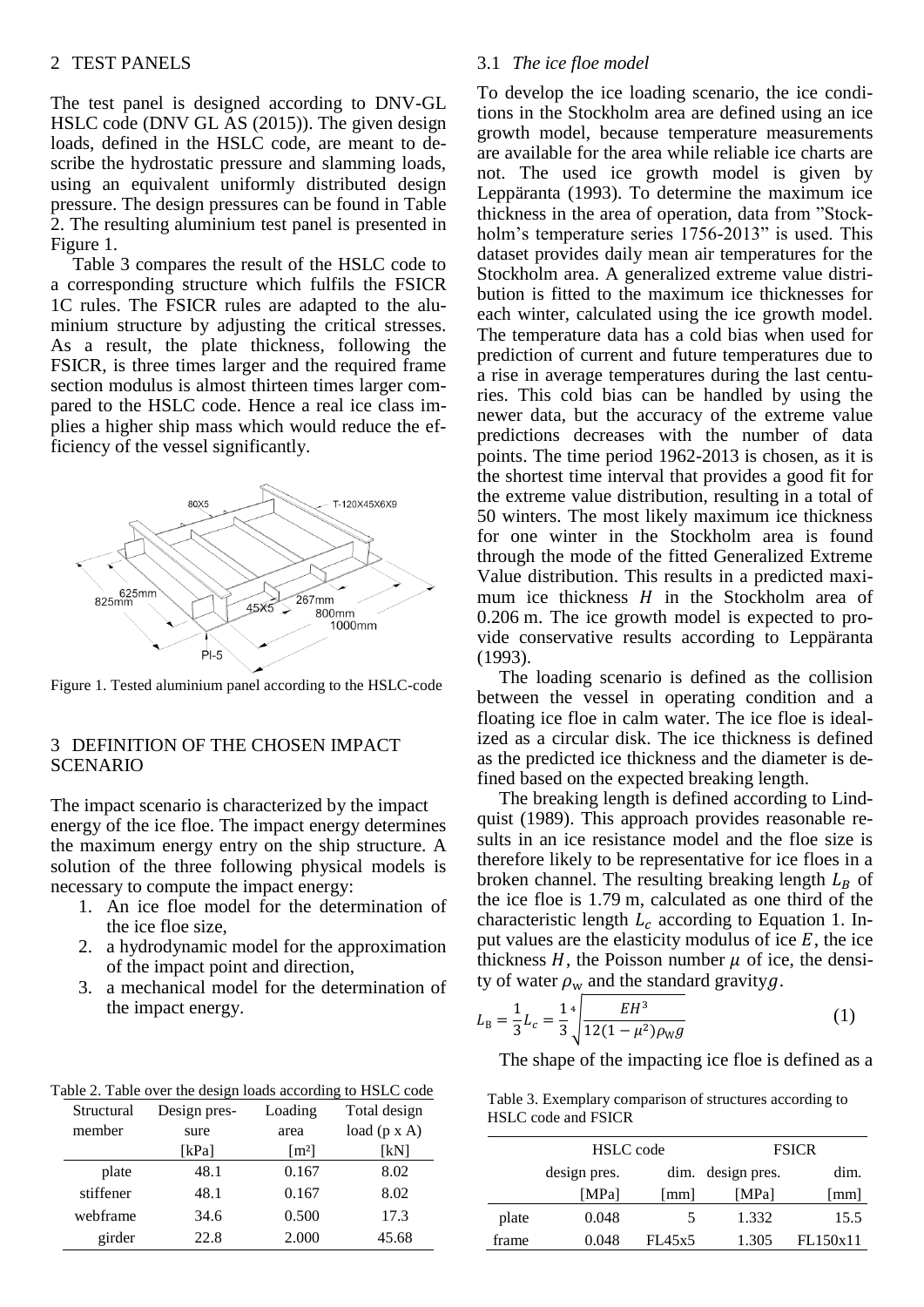The test panel is designed according to DNV-GL HSLC code (DNV GL AS (2015)). The given design loads, defined in the HSLC code, are meant to describe the hydrostatic pressure and slamming loads, using an equivalent uniformly distributed design pressure. The design pressures can be found in [Table](#page-1-0)  [2.](#page-1-0) The resulting aluminium test panel is presented in Figure 1.

Table 3 compares the result of the HSLC code to a corresponding structure which fulfils the FSICR 1C rules. The FSICR rules are adapted to the aluminium structure by adjusting the critical stresses. As a result, the plate thickness, following the FSICR, is three times larger and the required frame section modulus is almost thirteen times larger compared to the HSLC code. Hence a real ice class implies a higher ship mass which would reduce the efficiency of the vessel significantly.



Figure 1. Tested aluminium panel according to the HSLC-code

# 3 DEFINITION OF THE CHOSEN IMPACT SCENARIO

The impact scenario is characterized by the impact energy of the ice floe. The impact energy determines the maximum energy entry on the ship structure. A solution of the three following physical models is necessary to compute the impact energy:

- 1. An ice floe model for the determination of the ice floe size,
- 2. a hydrodynamic model for the approximation of the impact point and direction,
- 3. a mechanical model for the determination of the impact energy.

Loading

3.1 *The ice floe model*

To develop the ice loading scenario, the ice conditions in the Stockholm area are defined using an ice growth model, because temperature measurements are available for the area while reliable ice charts are not. The used ice growth model is given by Leppäranta (1993). To determine the maximum ice thickness in the area of operation, data from "Stockholm's temperature series 1756-2013" is used. This dataset provides daily mean air temperatures for the Stockholm area. A generalized extreme value distribution is fitted to the maximum ice thicknesses for each winter, calculated using the ice growth model. The temperature data has a cold bias when used for prediction of current and future temperatures due to a rise in average temperatures during the last centuries. This cold bias can be handled by using the newer data, but the accuracy of the extreme value predictions decreases with the number of data points. The time period 1962-2013 is chosen, as it is the shortest time interval that provides a good fit for the extreme value distribution, resulting in a total of 50 winters. The most likely maximum ice thickness for one winter in the Stockholm area is found through the mode of the fitted Generalized Extreme Value distribution. This results in a predicted maximum ice thickness  $H$  in the Stockholm area of 0.206 m. The ice growth model is expected to provide conservative results according to Leppäranta (1993).

The loading scenario is defined as the collision between the vessel in operating condition and a floating ice floe in calm water. The ice floe is idealized as a circular disk. The ice thickness is defined as the predicted ice thickness and the diameter is defined based on the expected breaking length.

The breaking length is defined according to Lindquist (1989). This approach provides reasonable results in an ice resistance model and the floe size is therefore likely to be representative for ice floes in a broken channel. The resulting breaking length  $L<sub>B</sub>$  of the ice floe is 1.79 m, calculated as one third of the characteristic length  $L_c$  according to Equation 1. Input values are the elasticity modulus of ice  $E$ , the ice thickness  $H$ , the Poisson number  $\mu$  of ice, the density of water  $\rho_w$  and the standard gravityg.

$$
L_{\rm B} = \frac{1}{3} L_c = \frac{1}{3} \sqrt[4]{\frac{EH^3}{12(1 - \mu^2)\rho_{\rm W}g}}
$$
(1)

The shape of the impacting ice floe is defined as a

| Table 3. Exemplary comparison of structures according to |  |
|----------------------------------------------------------|--|
| <b>HSLC</b> code and FSICR                               |  |

| ıber   | sure  | area                | load ( $p \times A$ ) |       |           |
|--------|-------|---------------------|-----------------------|-------|-----------|
|        | [kPa] | $\lceil m^2 \rceil$ | ſkN]                  |       | Н         |
| plate  | 48.1  | 0.167               | 8.02                  |       | design pr |
| fener  | 48.1  | 0.167               | 8.02                  |       | 'М        |
| frame  | 34.6  | 0.500               | 17.3                  | plate | $0.0\,$   |
| zirder | 22.8  | 2.000               | 45.68                 | frame | 0.0       |
|        |       |                     |                       |       |           |

Total design

|       | HSLC code    |               | <b>FSICR</b>      |                      |  |
|-------|--------------|---------------|-------------------|----------------------|--|
|       | design pres. |               | dim. design pres. | dim.                 |  |
|       | [MPa]        | mm            | [MPa]             | $\lceil$ mm $\rceil$ |  |
| plate | 0.048        | C.            | 1.332             | 15.5                 |  |
| frame | 0.048        | <b>FL45x5</b> | 1.305             | FL150x11             |  |

<span id="page-1-0"></span>Table 2. Table over the design loads according to HSLC code

Design pres-

**Structural** member

stiffener webframe girder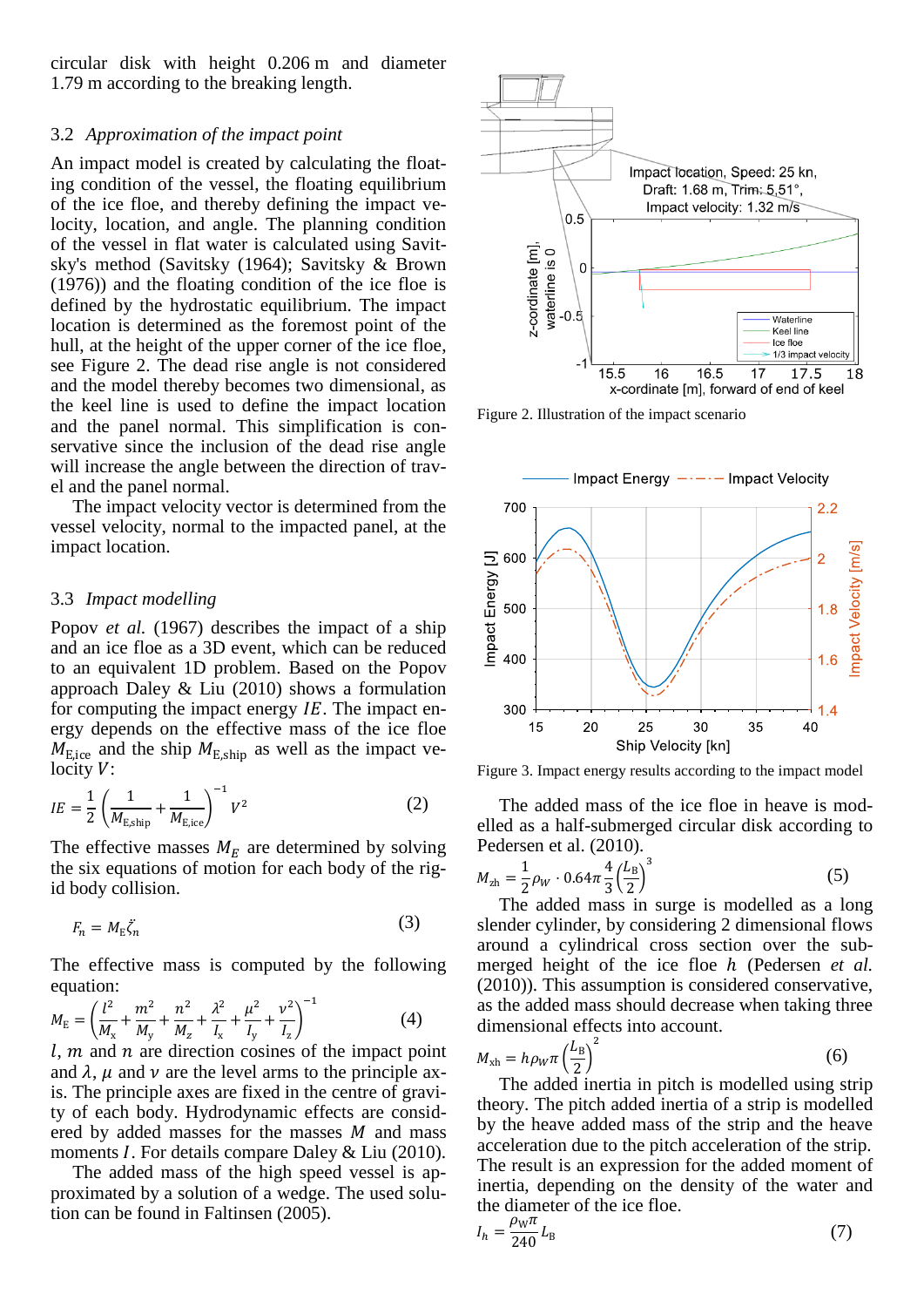circular disk with height 0.206 m and diameter 1.79 m according to the breaking length.

## 3.2 *Approximation of the impact point*

An impact model is created by calculating the floating condition of the vessel, the floating equilibrium of the ice floe, and thereby defining the impact velocity, location, and angle. The planning condition of the vessel in flat water is calculated using Savitsky's method (Savitsky (1964); Savitsky & Brown (1976)) and the floating condition of the ice floe is defined by the hydrostatic equilibrium. The impact location is determined as the foremost point of the hull, at the height of the upper corner of the ice floe, see [Figure 2.](#page-2-0) The dead rise angle is not considered and the model thereby becomes two dimensional, as the keel line is used to define the impact location and the panel normal. This simplification is conservative since the inclusion of the dead rise angle will increase the angle between the direction of travel and the panel normal.

The impact velocity vector is determined from the vessel velocity, normal to the impacted panel, at the impact location.

## 3.3 *Impact modelling*

Popov *et al.* (1967) describes the impact of a ship and an ice floe as a 3D event, which can be reduced to an equivalent 1D problem. Based on the Popov approach Daley & Liu (2010) shows a formulation for computing the impact energy  $IE$ . The impact energy depends on the effective mass of the ice floe  $M_{\rm E,ice}$  and the ship  $M_{\rm E,ship}$  as well as the impact velocity  $V$ :

$$
IE = \frac{1}{2} \left( \frac{1}{M_{\rm E, ship}} + \frac{1}{M_{\rm E, ice}} \right)^{-1} V^2
$$
 (2)

The effective masses  $M_E$  are determined by solving the six equations of motion for each body of the rigid body collision.

$$
F_n = M_E \ddot{\zeta}_n \tag{3}
$$

The effective mass is computed by the following equation:

$$
M_{\rm E} = \left(\frac{l^2}{M_{\rm x}} + \frac{m^2}{M_{\rm y}} + \frac{n^2}{M_{\rm z}} + \frac{\lambda^2}{I_{\rm x}} + \frac{\mu^2}{I_{\rm y}} + \frac{\nu^2}{I_{\rm z}}\right)^{-1} \tag{4}
$$

 $l, m$  and  $n$  are direction cosines of the impact point and  $\lambda$ ,  $\mu$  and  $\nu$  are the level arms to the principle axis. The principle axes are fixed in the centre of gravity of each body. Hydrodynamic effects are considered by added masses for the masses  $M$  and mass moments  $I$ . For details compare Daley & Liu (2010).

The added mass of the high speed vessel is approximated by a solution of a wedge. The used solution can be found in Faltinsen (2005).



<span id="page-2-0"></span>Figure 2. Illustration of the impact scenario



<span id="page-2-1"></span>Figure 3. Impact energy results according to the impact model

The added mass of the ice floe in heave is modelled as a half-submerged circular disk according to Pedersen et al. (2010).

$$
M_{\rm zh} = \frac{1}{2}\rho_W \cdot 0.64\pi \frac{4}{3} \left(\frac{L_{\rm B}}{2}\right)^3 \tag{5}
$$

The added mass in surge is modelled as a long slender cylinder, by considering 2 dimensional flows around a cylindrical cross section over the submerged height of the ice floe *h* (Pedersen *et al.* (2010)). This assumption is considered conservative, as the added mass should decrease when taking three dimensional effects into account.

$$
M_{xh} = h\rho_W \pi \left(\frac{L_B}{2}\right)^2 \tag{6}
$$

The added inertia in pitch is modelled using strip theory. The pitch added inertia of a strip is modelled by the heave added mass of the strip and the heave acceleration due to the pitch acceleration of the strip. The result is an expression for the added moment of inertia, depending on the density of the water and the diameter of the ice floe.

$$
I_h = \frac{\rho_W \pi}{240} L_B \tag{7}
$$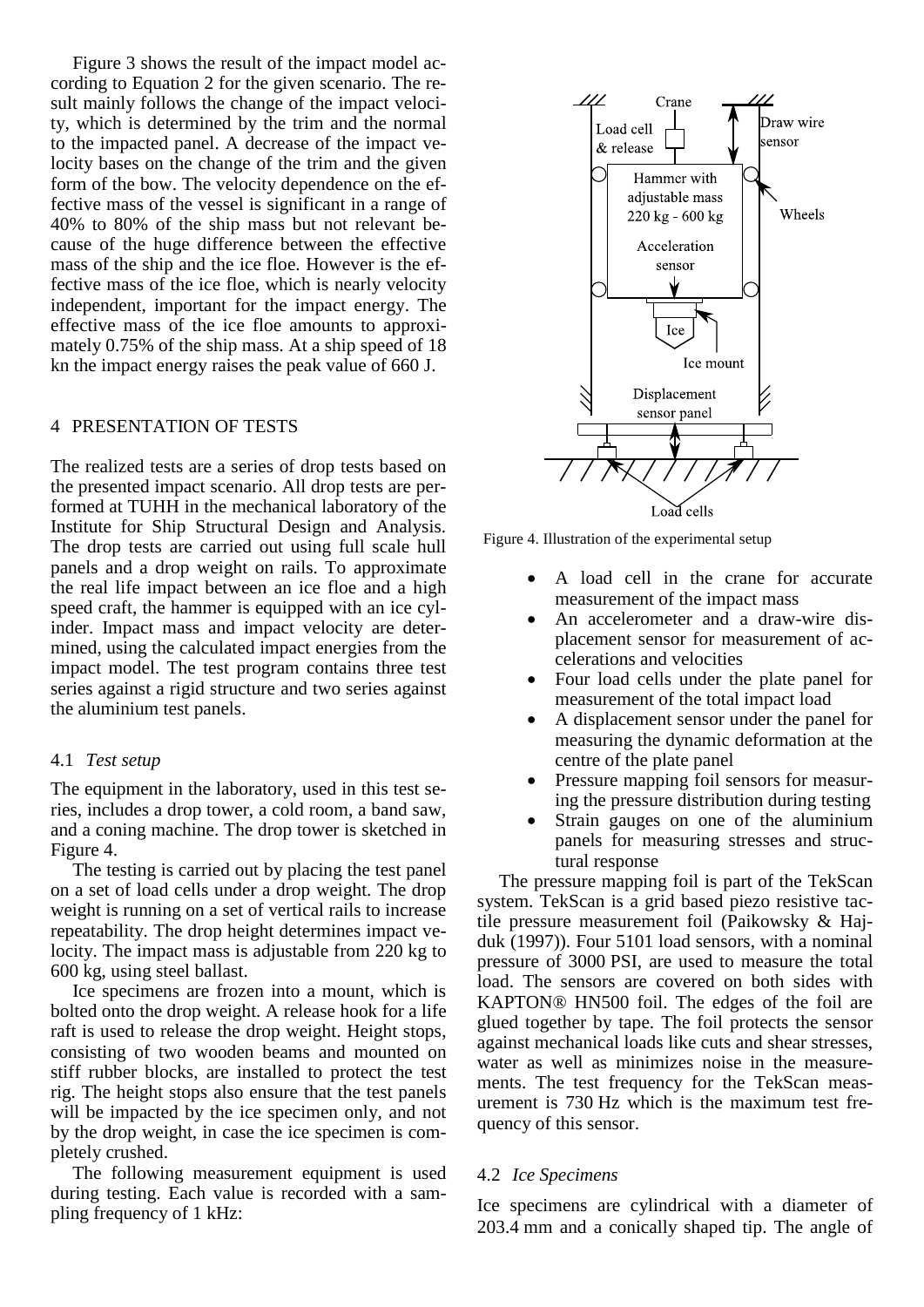[Figure 3](#page-2-1) shows the result of the impact model according to Equation 2 for the given scenario. The result mainly follows the change of the impact velocity, which is determined by the trim and the normal to the impacted panel. A decrease of the impact velocity bases on the change of the trim and the given form of the bow. The velocity dependence on the effective mass of the vessel is significant in a range of 40% to 80% of the ship mass but not relevant because of the huge difference between the effective mass of the ship and the ice floe. However is the effective mass of the ice floe, which is nearly velocity independent, important for the impact energy. The effective mass of the ice floe amounts to approximately 0.75% of the ship mass. At a ship speed of 18 kn the impact energy raises the peak value of 660 J.

## 4 PRESENTATION OF TESTS

The realized tests are a series of drop tests based on the presented impact scenario. All drop tests are performed at TUHH in the mechanical laboratory of the Institute for Ship Structural Design and Analysis. The drop tests are carried out using full scale hull panels and a drop weight on rails. To approximate the real life impact between an ice floe and a high speed craft, the hammer is equipped with an ice cylinder. Impact mass and impact velocity are determined, using the calculated impact energies from the impact model. The test program contains three test series against a rigid structure and two series against the aluminium test panels.

#### 4.1 *Test setup*

The equipment in the laboratory, used in this test series, includes a drop tower, a cold room, a band saw, and a coning machine. The drop tower is sketched in [Figure 4.](#page-3-0)

The testing is carried out by placing the test panel on a set of load cells under a drop weight. The drop weight is running on a set of vertical rails to increase repeatability. The drop height determines impact velocity. The impact mass is adjustable from 220 kg to 600 kg, using steel ballast.

Ice specimens are frozen into a mount, which is bolted onto the drop weight. A release hook for a life raft is used to release the drop weight. Height stops, consisting of two wooden beams and mounted on stiff rubber blocks, are installed to protect the test rig. The height stops also ensure that the test panels will be impacted by the ice specimen only, and not by the drop weight, in case the ice specimen is completely crushed.

The following measurement equipment is used during testing. Each value is recorded with a sampling frequency of 1 kHz:



<span id="page-3-0"></span>Figure 4. Illustration of the experimental setup

- A load cell in the crane for accurate measurement of the impact mass
- An accelerometer and a draw-wire displacement sensor for measurement of accelerations and velocities
- Four load cells under the plate panel for measurement of the total impact load
- A displacement sensor under the panel for measuring the dynamic deformation at the centre of the plate panel
- Pressure mapping foil sensors for measuring the pressure distribution during testing
- Strain gauges on one of the aluminium panels for measuring stresses and structural response

The pressure mapping foil is part of the TekScan system. TekScan is a grid based piezo resistive tactile pressure measurement foil (Paikowsky & Hajduk (1997)). Four 5101 load sensors, with a nominal pressure of 3000 PSI, are used to measure the total load. The sensors are covered on both sides with KAPTON® HN500 foil. The edges of the foil are glued together by tape. The foil protects the sensor against mechanical loads like cuts and shear stresses, water as well as minimizes noise in the measurements. The test frequency for the TekScan measurement is 730 Hz which is the maximum test frequency of this sensor.

#### 4.2 *Ice Specimens*

Ice specimens are cylindrical with a diameter of 203.4 mm and a conically shaped tip. The angle of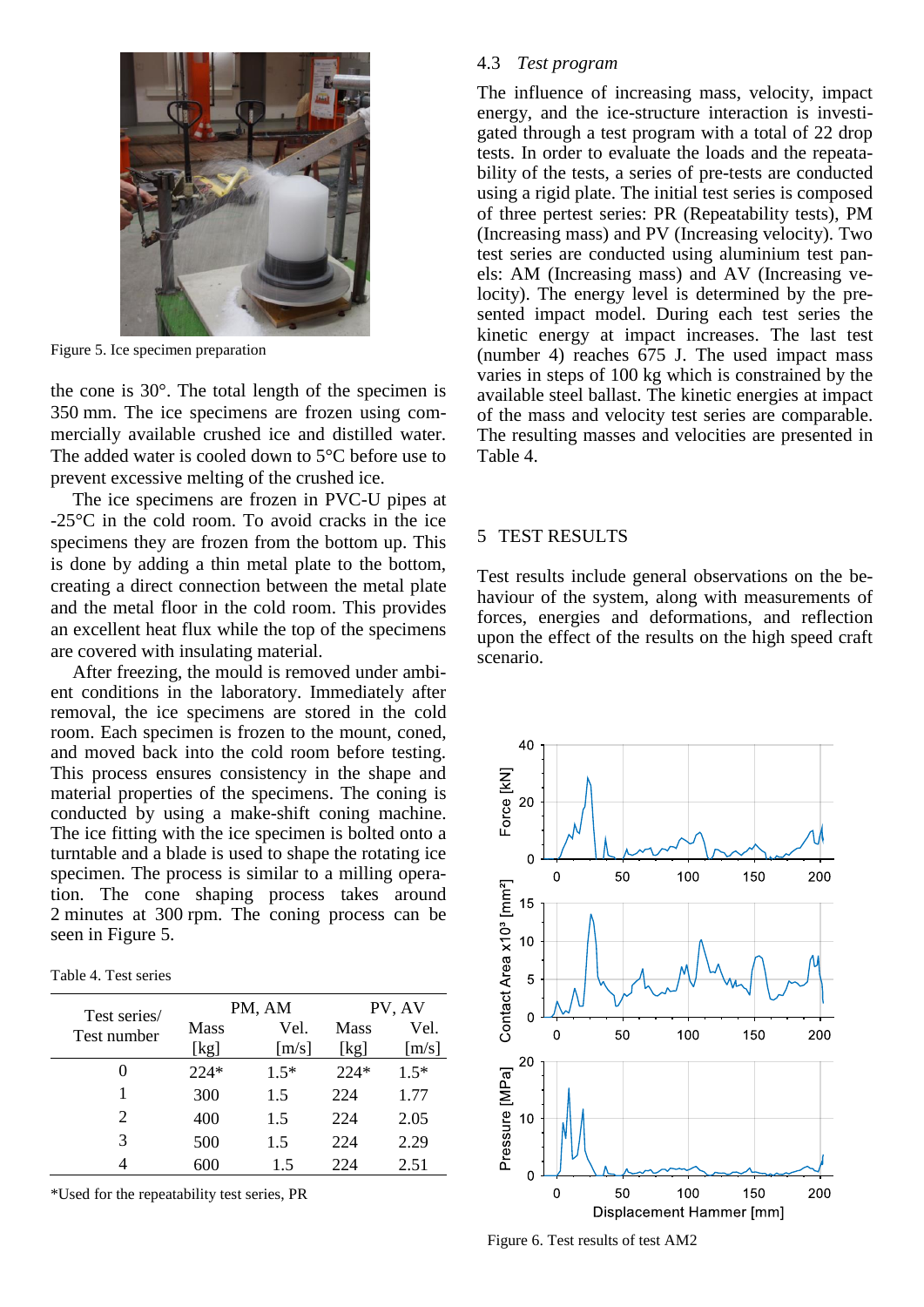

Figure 5. Ice specimen preparation

<span id="page-4-0"></span>the cone is 30°. The total length of the specimen is 350 mm. The ice specimens are frozen using commercially available crushed ice and distilled water. The added water is cooled down to 5°C before use to prevent excessive melting of the crushed ice.

The ice specimens are frozen in PVC-U pipes at -25°C in the cold room. To avoid cracks in the ice specimens they are frozen from the bottom up. This is done by adding a thin metal plate to the bottom, creating a direct connection between the metal plate and the metal floor in the cold room. This provides an excellent heat flux while the top of the specimens are covered with insulating material.

After freezing, the mould is removed under ambient conditions in the laboratory. Immediately after removal, the ice specimens are stored in the cold room. Each specimen is frozen to the mount, coned, and moved back into the cold room before testing. This process ensures consistency in the shape and material properties of the specimens. The coning is conducted by using a make-shift coning machine. The ice fitting with the ice specimen is bolted onto a turntable and a blade is used to shape the rotating ice specimen. The process is similar to a milling operation. The cone shaping process takes around 2 minutes at 300 rpm. The coning process can be seen in [Figure 5.](#page-4-0)

<span id="page-4-1"></span>

| Table 4. Test series |  |  |
|----------------------|--|--|
|----------------------|--|--|

| Test series/ | PM, AM |        | PV, AV |        |
|--------------|--------|--------|--------|--------|
| Test number  | Mass   | Vel.   | Mass   | Vel.   |
|              | [kg]   | [m/s]  | [kg]   | [m/s]  |
|              | $224*$ | $1.5*$ | $224*$ | $1.5*$ |
|              | 300    | 1.5    | 224    | 1.77   |
| 2            | 400    | 1.5    | 224    | 2.05   |
| 3            | 500    | 1.5    | 224    | 2.29   |
| Δ            | 600    | 1.5    | 224    | 2.51   |

\*Used for the repeatability test series, PR

# 4.3 *Test program*

The influence of increasing mass, velocity, impact energy, and the ice-structure interaction is investigated through a test program with a total of 22 drop tests. In order to evaluate the loads and the repeatability of the tests, a series of pre-tests are conducted using a rigid plate. The initial test series is composed of three pertest series: PR (Repeatability tests), PM (Increasing mass) and PV (Increasing velocity). Two test series are conducted using aluminium test panels: AM (Increasing mass) and AV (Increasing velocity). The energy level is determined by the presented impact model. During each test series the kinetic energy at impact increases. The last test (number 4) reaches 675 J. The used impact mass varies in steps of 100 kg which is constrained by the available steel ballast. The kinetic energies at impact of the mass and velocity test series are comparable. The resulting masses and velocities are presented in [Table 4.](#page-4-1)

# 5 TEST RESULTS

Test results include general observations on the behaviour of the system, along with measurements of forces, energies and deformations, and reflection upon the effect of the results on the high speed craft scenario.



<span id="page-4-2"></span>Figure 6. Test results of test AM2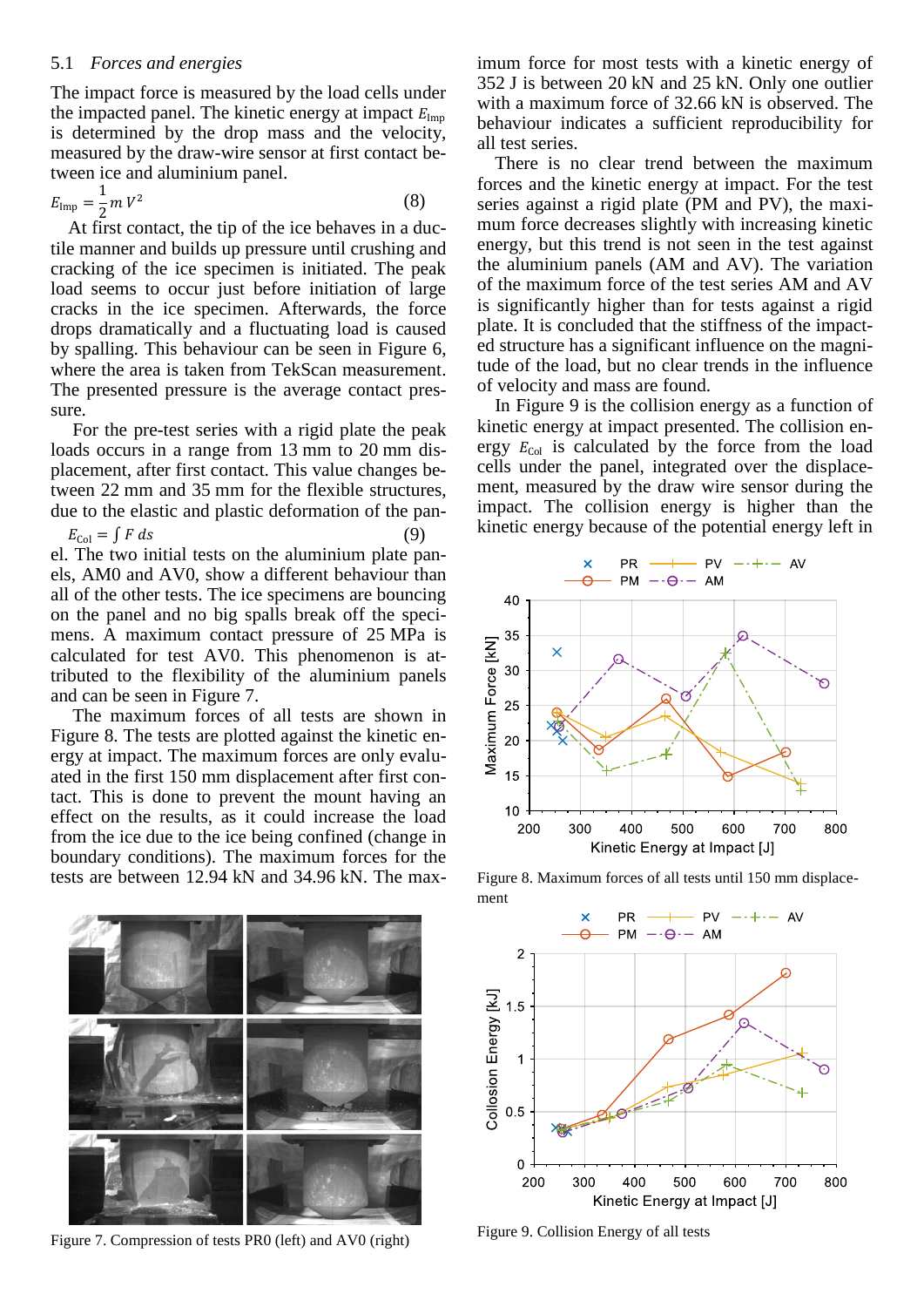The impact force is measured by the load cells under the impacted panel. The kinetic energy at impact  $E_{lmn}$ is determined by the drop mass and the velocity, measured by the draw-wire sensor at first contact between ice and aluminium panel.

$$
E_{\rm Imp} = \frac{1}{2} m V^2 \tag{8}
$$

At first contact, the tip of the ice behaves in a ductile manner and builds up pressure until crushing and cracking of the ice specimen is initiated. The peak load seems to occur just before initiation of large cracks in the ice specimen. Afterwards, the force drops dramatically and a fluctuating load is caused by spalling. This behaviour can be seen in [Figure 6,](#page-4-2) where the area is taken from TekScan measurement. The presented pressure is the average contact pressure.

For the pre-test series with a rigid plate the peak loads occurs in a range from 13 mm to 20 mm displacement, after first contact. This value changes between 22 mm and 35 mm for the flexible structures, due to the elastic and plastic deformation of the pan-

$$
E_{\text{Col}} = \int F \, ds \tag{9}
$$

el. The two initial tests on the aluminium plate panels, AM0 and AV0, show a different behaviour than all of the other tests. The ice specimens are bouncing on the panel and no big spalls break off the specimens. A maximum contact pressure of 25 MPa is calculated for test AV0. This phenomenon is attributed to the flexibility of the aluminium panels and can be seen in [Figure 7.](#page-5-0)

The maximum forces of all tests are shown in [Figure 8.](#page-5-1) The tests are plotted against the kinetic energy at impact. The maximum forces are only evaluated in the first 150 mm displacement after first contact. This is done to prevent the mount having an effect on the results, as it could increase the load from the ice due to the ice being confined (change in boundary conditions). The maximum forces for the tests are between 12.94 kN and 34.96 kN. The max-

imum force for most tests with a kinetic energy of 352 J is between 20 kN and 25 kN. Only one outlier with a maximum force of 32.66 kN is observed. The behaviour indicates a sufficient reproducibility for all test series.

There is no clear trend between the maximum forces and the kinetic energy at impact. For the test series against a rigid plate (PM and PV), the maximum force decreases slightly with increasing kinetic energy, but this trend is not seen in the test against the aluminium panels (AM and AV). The variation of the maximum force of the test series AM and AV is significantly higher than for tests against a rigid plate. It is concluded that the stiffness of the impacted structure has a significant influence on the magnitude of the load, but no clear trends in the influence of velocity and mass are found.

In [Figure 9](#page-5-2) is the collision energy as a function of kinetic energy at impact presented. The collision energy  $E_{\text{col}}$  is calculated by the force from the load cells under the panel, integrated over the displacement, measured by the draw wire sensor during the impact. The collision energy is higher than the kinetic energy because of the potential energy left in



<span id="page-5-1"></span>Figure 8. Maximum forces of all tests until 150 mm displacement



<span id="page-5-0"></span>Figure 7. Compression of tests PR0 (left) and AV0 (right)



<span id="page-5-2"></span>Figure 9. Collision Energy of all tests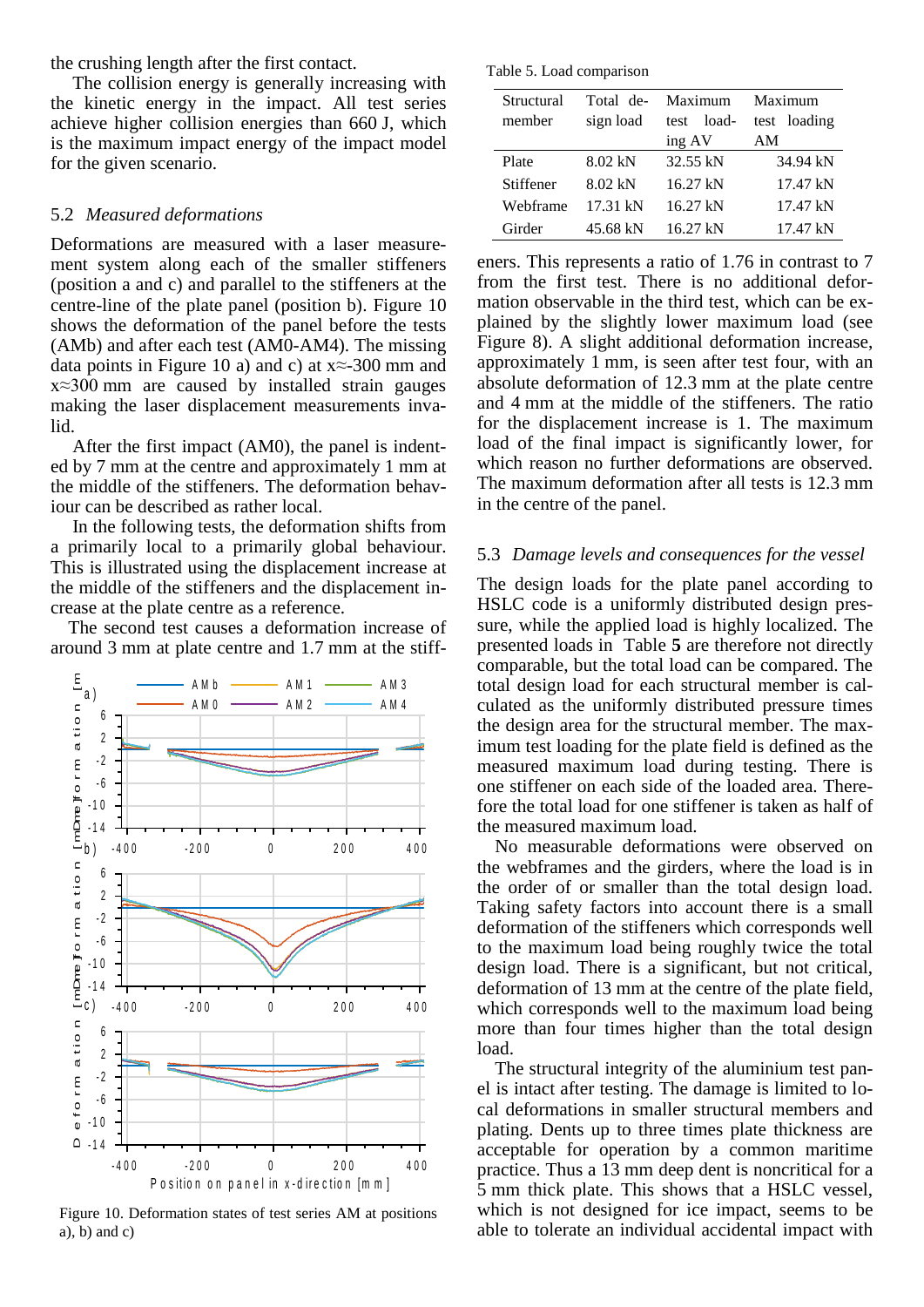the crushing length after the first contact.

The collision energy is generally increasing with the kinetic energy in the impact. All test series achieve higher collision energies than 660 J, which is the maximum impact energy of the impact model for the given scenario.

# 5.2 *Measured deformations*

Deformations are measured with a laser measurement system along each of the smaller stiffeners (position a and c) and parallel to the stiffeners at the centre-line of the plate panel (position b). [Figure 10](#page-6-0) shows the deformation of the panel before the tests (AMb) and after each test (AM0-AM4). The missing data points in [Figure 10](#page-6-0) a) and c) at  $x \approx -300$  mm and x≈300 mm are caused by installed strain gauges making the laser displacement measurements invalid.

After the first impact (AM0), the panel is indented by 7 mm at the centre and approximately 1 mm at the middle of the stiffeners. The deformation behaviour can be described as rather local.

In the following tests, the deformation shifts from a primarily local to a primarily global behaviour. This is illustrated using the displacement increase at the middle of the stiffeners and the displacement increase at the plate centre as a reference.

The second test causes a deformation increase of around 3 mm at plate centre and 1.7 mm at the stiff-



<span id="page-6-0"></span>Figure 10. Deformation states of test series AM at positions a), b) and  $c$ )

<span id="page-6-1"></span>Table 5. Load comparison

| Structural | Total de- | Maximum Maximum    |              |
|------------|-----------|--------------------|--------------|
| member     | sign load | test load-         | test loading |
|            |           | ing AV             | ΑM           |
| Plate      | 8.02 kN   | 32.55 kN           | 34.94 kN     |
| Stiffener  | 8.02 kN   | $16.27 \text{ kN}$ | 17.47 kN     |
| Webframe   | 17.31 kN  | 16.27 kN           | 17.47 kN     |
| Girder     | 45.68 kN  | 16.27 kN           | 17.47 kN     |

eners. This represents a ratio of 1.76 in contrast to 7 from the first test. There is no additional deformation observable in the third test, which can be explained by the slightly lower maximum load (see [Figure 8\)](#page-5-1). A slight additional deformation increase, approximately 1 mm, is seen after test four, with an absolute deformation of 12.3 mm at the plate centre and 4 mm at the middle of the stiffeners. The ratio for the displacement increase is 1. The maximum load of the final impact is significantly lower, for which reason no further deformations are observed. The maximum deformation after all tests is 12.3 mm in the centre of the panel.

## 5.3 *Damage levels and consequences for the vessel*

The design loads for the plate panel according to HSLC code is a uniformly distributed design pressure, while the applied load is highly localized. The presented loads in [Table](#page-6-1) **5** are therefore not directly comparable, but the total load can be compared. The total design load for each structural member is calculated as the uniformly distributed pressure times the design area for the structural member. The maximum test loading for the plate field is defined as the measured maximum load during testing. There is one stiffener on each side of the loaded area. Therefore the total load for one stiffener is taken as half of the measured maximum load.

No measurable deformations were observed on the webframes and the girders, where the load is in the order of or smaller than the total design load. Taking safety factors into account there is a small deformation of the stiffeners which corresponds well to the maximum load being roughly twice the total design load. There is a significant, but not critical, deformation of 13 mm at the centre of the plate field, which corresponds well to the maximum load being more than four times higher than the total design load.

The structural integrity of the aluminium test panel is intact after testing. The damage is limited to local deformations in smaller structural members and plating. Dents up to three times plate thickness are acceptable for operation by a common maritime practice. Thus a 13 mm deep dent is noncritical for a 5 mm thick plate. This shows that a HSLC vessel, which is not designed for ice impact, seems to be able to tolerate an individual accidental impact with